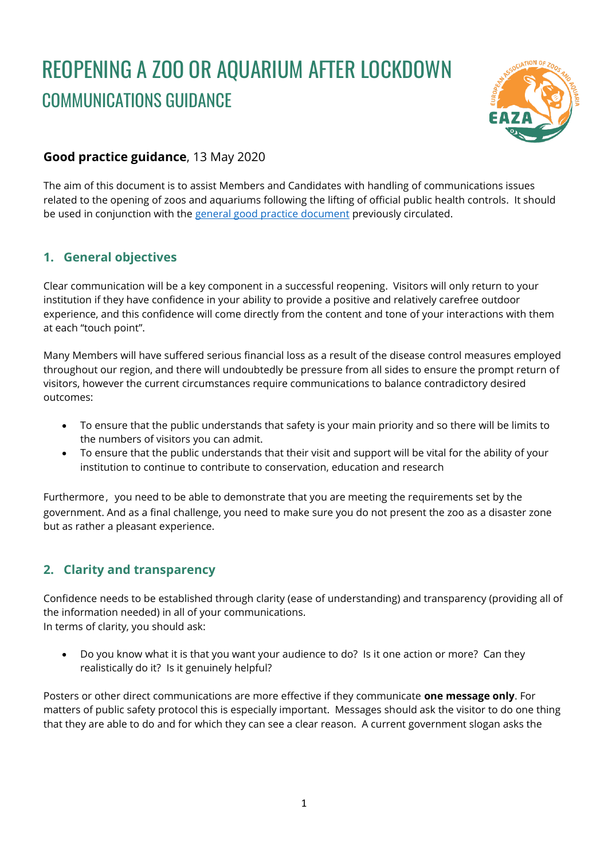# REOPENING A ZOO OR AQUARIUM AFTER LOCKDOWN COMMUNICATIONS GUIDANCE



# **Good practice guidance**, 13 May 2020

The aim of this document is to assist Members and Candidates with handling of communications issues related to the opening of zoos and aquariums following the lifting of official public health controls. It should be used in conjunction with the [general good practice document](https://www.eaza.net/assets/Uploads/EAZA-Documents-Other/COVID19Docs/Reopening-a-zoo-EAZA-good-practices-guidance-28-04-2020-1.pdf) previously circulated.

### **1. General objectives**

Clear communication will be a key component in a successful reopening. Visitors will only return to your institution if they have confidence in your ability to provide a positive and relatively carefree outdoor experience, and this confidence will come directly from the content and tone of your interactions with them at each "touch point".

Many Members will have suffered serious financial loss as a result of the disease control measures employed throughout our region, and there will undoubtedly be pressure from all sides to ensure the prompt return of visitors, however the current circumstances require communications to balance contradictory desired outcomes:

- To ensure that the public understands that safety is your main priority and so there will be limits to the numbers of visitors you can admit.
- To ensure that the public understands that their visit and support will be vital for the ability of your institution to continue to contribute to conservation, education and research

Furthermore, you need to be able to demonstrate that you are meeting the requirements set by the government. And as a final challenge, you need to make sure you do not present the zoo as a disaster zone but as rather a pleasant experience.

### **2. Clarity and transparency**

Confidence needs to be established through clarity (ease of understanding) and transparency (providing all of the information needed) in all of your communications. In terms of clarity, you should ask:

• Do you know what it is that you want your audience to do? Is it one action or more? Can they realistically do it? Is it genuinely helpful?

Posters or other direct communications are more effective if they communicate **one message only**. For matters of public safety protocol this is especially important. Messages should ask the visitor to do one thing that they are able to do and for which they can see a clear reason. A current government slogan asks the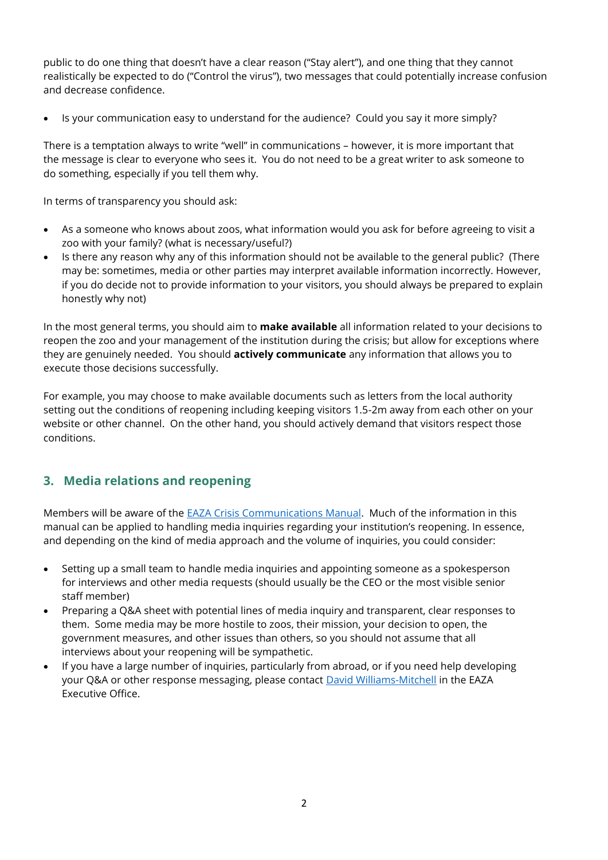public to do one thing that doesn't have a clear reason ("Stay alert"), and one thing that they cannot realistically be expected to do ("Control the virus"), two messages that could potentially increase confusion and decrease confidence.

• Is your communication easy to understand for the audience? Could you say it more simply?

There is a temptation always to write "well" in communications – however, it is more important that the message is clear to everyone who sees it. You do not need to be a great writer to ask someone to do something, especially if you tell them why.

In terms of transparency you should ask:

- As a someone who knows about zoos, what information would you ask for before agreeing to visit a zoo with your family? (what is necessary/useful?)
- Is there any reason why any of this information should not be available to the general public? (There may be: sometimes, media or other parties may interpret available information incorrectly. However, if you do decide not to provide information to your visitors, you should always be prepared to explain honestly why not)

In the most general terms, you should aim to **make available** all information related to your decisions to reopen the zoo and your management of the institution during the crisis; but allow for exceptions where they are genuinely needed. You should **actively communicate** any information that allows you to execute those decisions successfully.

For example, you may choose to make available documents such as letters from the local authority setting out the conditions of reopening including keeping visitors 1.5-2m away from each other on your website or other channel. On the other hand, you should actively demand that visitors respect those conditions.

### **3. Media relations and reopening**

Members will be aware of the [EAZA Crisis Communications Manual.](https://eaza.sharepoint.com/sites/member/committees/communications/Documents%20All%20members?id=%2Fsites%2Fmember%2Fcommittees%2Fcommunications%2FDocuments%20All%20members%2FDocuments%2FEAZA%20Crisis%20manual%2Epdf&parent=%2Fsites%2Fmember%2Fcommittees%2Fcommunications%2FDocuments%20All%20members%2FDocuments) Much of the information in this manual can be applied to handling media inquiries regarding your institution's reopening. In essence, and depending on the kind of media approach and the volume of inquiries, you could consider:

- Setting up a small team to handle media inquiries and appointing someone as a spokesperson for interviews and other media requests (should usually be the CEO or the most visible senior staff member)
- Preparing a Q&A sheet with potential lines of media inquiry and transparent, clear responses to them. Some media may be more hostile to zoos, their mission, your decision to open, the government measures, and other issues than others, so you should not assume that all interviews about your reopening will be sympathetic.
- If you have a large number of inquiries, particularly from abroad, or if you need help developing your Q&A or other response messaging, please contact **David Williams-Mitchell** in the EAZA Executive Office.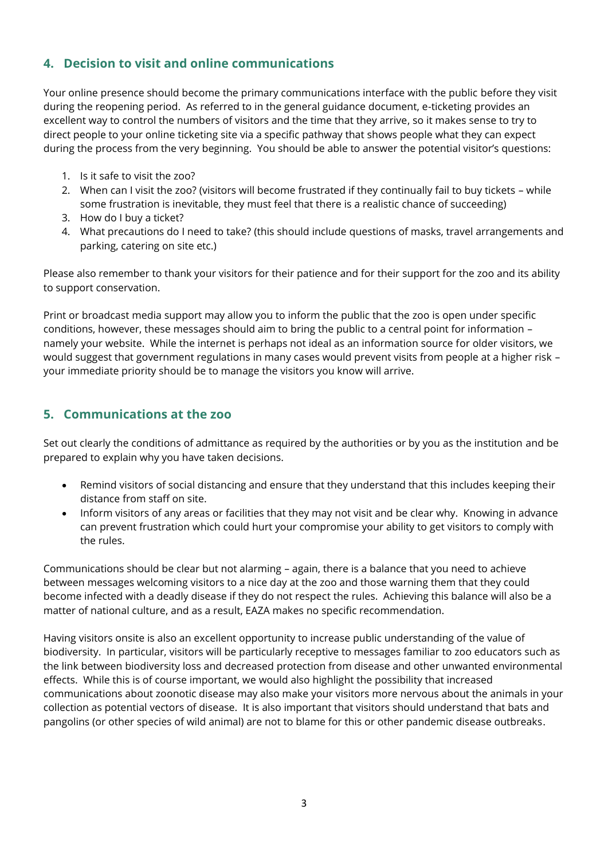# **4. Decision to visit and online communications**

Your online presence should become the primary communications interface with the public before they visit during the reopening period. As referred to in the general guidance document, e-ticketing provides an excellent way to control the numbers of visitors and the time that they arrive, so it makes sense to try to direct people to your online ticketing site via a specific pathway that shows people what they can expect during the process from the very beginning. You should be able to answer the potential visitor's questions:

- 1. Is it safe to visit the zoo?
- 2. When can I visit the zoo? (visitors will become frustrated if they continually fail to buy tickets while some frustration is inevitable, they must feel that there is a realistic chance of succeeding)
- 3. How do I buy a ticket?
- 4. What precautions do I need to take? (this should include questions of masks, travel arrangements and parking, catering on site etc.)

Please also remember to thank your visitors for their patience and for their support for the zoo and its ability to support conservation.

Print or broadcast media support may allow you to inform the public that the zoo is open under specific conditions, however, these messages should aim to bring the public to a central point for information – namely your website. While the internet is perhaps not ideal as an information source for older visitors, we would suggest that government regulations in many cases would prevent visits from people at a higher risk – your immediate priority should be to manage the visitors you know will arrive.

#### **5. Communications at the zoo**

Set out clearly the conditions of admittance as required by the authorities or by you as the institution and be prepared to explain why you have taken decisions.

- Remind visitors of social distancing and ensure that they understand that this includes keeping their distance from staff on site.
- Inform visitors of any areas or facilities that they may not visit and be clear why. Knowing in advance can prevent frustration which could hurt your compromise your ability to get visitors to comply with the rules.

Communications should be clear but not alarming – again, there is a balance that you need to achieve between messages welcoming visitors to a nice day at the zoo and those warning them that they could become infected with a deadly disease if they do not respect the rules. Achieving this balance will also be a matter of national culture, and as a result, EAZA makes no specific recommendation.

Having visitors onsite is also an excellent opportunity to increase public understanding of the value of biodiversity. In particular, visitors will be particularly receptive to messages familiar to zoo educators such as the link between biodiversity loss and decreased protection from disease and other unwanted environmental effects. While this is of course important, we would also highlight the possibility that increased communications about zoonotic disease may also make your visitors more nervous about the animals in your collection as potential vectors of disease. It is also important that visitors should understand that bats and pangolins (or other species of wild animal) are not to blame for this or other pandemic disease outbreaks.